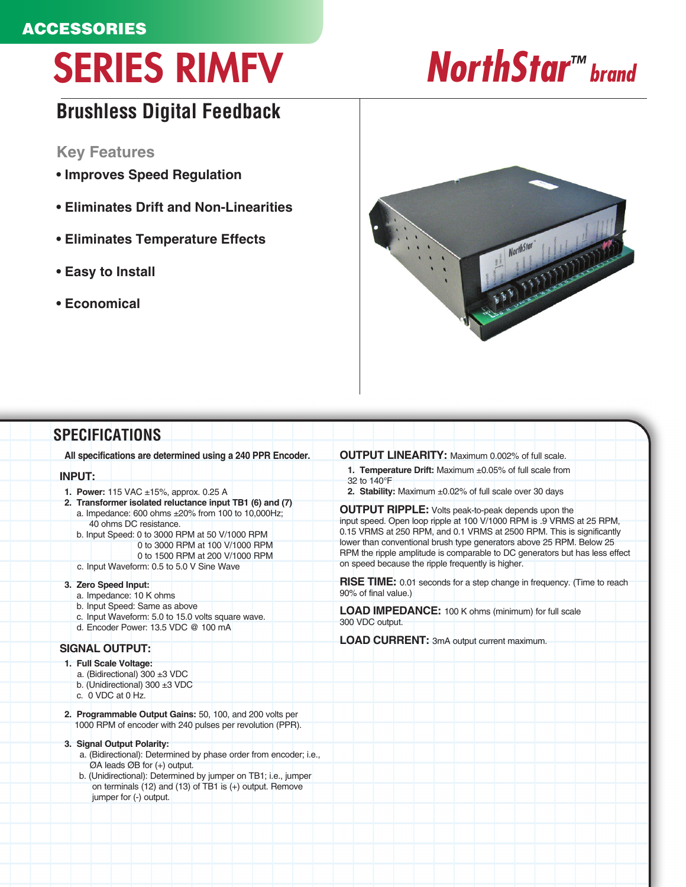## **ACCESSORIES**

# SERIES RIMFV *NorthStar™ brand*

# **Brushless Digital Feedback**

#### **Key Features**

- **Improves Speed Regulation**
- **Eliminates Drift and Non-Linearities**
- **Eliminates Temperature Effects**
- **Easy to Install**
- **Economical**



### **SPECIFICATIONS**

**All specifications are determined using a 240 PPR Encoder.**

#### **INPUT:**

- **1. Power:** 115 VAC ±15%, approx. 0.25 A
- **2. Transformer isolated reluctance input TB1 (6) and (7)** a. Impedance: 600 ohms ±20% from 100 to 10,000Hz; 40 ohms DC resistance.
	- b. Input Speed: 0 to 3000 RPM at 50 V/1000 RPM 0 to 3000 RPM at 100 V/1000 RPM
	- 0 to 1500 RPM at 200 V/1000 RPM c. Input Waveform: 0.5 to 5.0 V Sine Wave
- 
- **3. Zero Speed Input:**
	- a. Impedance: 10 K ohms
	- b. Input Speed: Same as above c. Input Waveform: 5.0 to 15.0 volts square wave.
	- d. Encoder Power: 13.5 VDC @ 100 mA

#### **SIGNAL OUTPUT:**

- **1. Full Scale Voltage:**
	- a. (Bidirectional) 300 ±3 VDC
	- b. (Unidirectional) 300 ±3 VDC
	- c. 0 VDC at 0 Hz.
- **2. Programmable Output Gains:** 50, 100, and 200 volts per 1000 RPM of encoder with 240 pulses per revolution (PPR).
- **3. Signal Output Polarity:**
	- a. (Bidirectional): Determined by phase order from encoder; i.e., ØA leads ØB for (+) output.
	- b. (Unidirectional): Determined by jumper on TB1; i.e., jumper on terminals (12) and (13) of TB1 is (+) output. Remove jumper for (-) output.

#### **OUTPUT LINEARITY:** Maximum 0.002% of full scale.

**1. Temperature Drift:** Maximum ±0.05% of full scale from

32 to 140°F **2. Stability:** Maximum ±0.02% of full scale over 30 days

**OUTPUT RIPPLE:** Volts peak-to-peak depends upon the input speed. Open loop ripple at 100 V/1000 RPM is .9 VRMS at 25 RPM, 0.15 VRMS at 250 RPM, and 0.1 VRMS at 2500 RPM. This is significantly lower than conventional brush type generators above 25 RPM. Below 25 RPM the ripple amplitude is comparable to DC generators but has less effect on speed because the ripple frequently is higher.

**RISE TIME:** 0.01 seconds for a step change in frequency. (Time to reach 90% of final value.)

**LOAD IMPEDANCE:** 100 K ohms (minimum) for full scale 300 VDC output.

**LOAD CURRENT:** 3mA output current maximum.